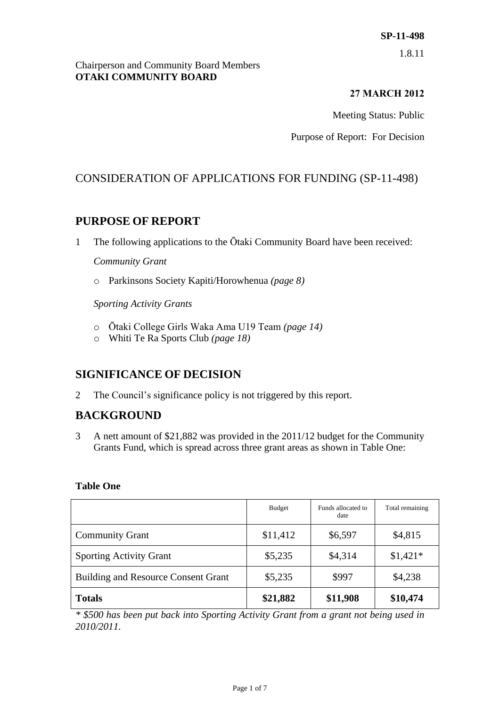1.8.11

#### Chairperson and Community Board Members **OTAKI COMMUNITY BOARD**

# **27 MARCH 2012**

Meeting Status: Public

Purpose of Report: For Decision

# CONSIDERATION OF APPLICATIONS FOR FUNDING (SP-11-498)

# **PURPOSE OF REPORT**

1 The following applications to the Ōtaki Community Board have been received:

## *Community Grant*

o Parkinsons Society Kapiti/Horowhenua *(page 8)*

*Sporting Activity Grants*

- o Ōtaki College Girls Waka Ama U19 Team *(page 14)*
- o Whiti Te Ra Sports Club *(page 18)*

# **SIGNIFICANCE OF DECISION**

2 The Council's significance policy is not triggered by this report.

# **BACKGROUND**

3 A nett amount of \$21,882 was provided in the 2011/12 budget for the Community Grants Fund, which is spread across three grant areas as shown in Table One:

## **Table One**

|                                            | Budget   | Funds allocated to<br>date | Total remaining |
|--------------------------------------------|----------|----------------------------|-----------------|
| <b>Community Grant</b>                     | \$11,412 | \$6,597                    | \$4,815         |
| <b>Sporting Activity Grant</b>             | \$5,235  | \$4,314                    | $$1,421*$       |
| <b>Building and Resource Consent Grant</b> | \$5,235  | \$997                      | \$4,238         |
| <b>Totals</b>                              | \$21,882 | \$11,908                   | \$10,474        |

*\* \$500 has been put back into Sporting Activity Grant from a grant not being used in 2010/2011.*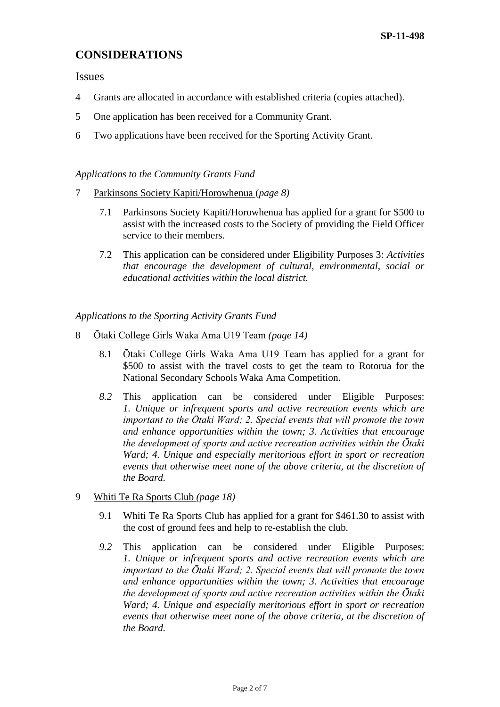# **CONSIDERATIONS**

Issues

- 4 Grants are allocated in accordance with established criteria (copies attached).
- 5 One application has been received for a Community Grant.
- 6 Two applications have been received for the Sporting Activity Grant.

#### *Applications to the Community Grants Fund*

- 7 Parkinsons Society Kapiti/Horowhenua (*page 8)*
	- 7.1 Parkinsons Society Kapiti/Horowhenua has applied for a grant for \$500 to assist with the increased costs to the Society of providing the Field Officer service to their members.
	- 7.2 This application can be considered under Eligibility Purposes 3: *Activities that encourage the development of cultural, environmental, social or educational activities within the local district.*

*Applications to the Sporting Activity Grants Fund*

- 8 Ōtaki College Girls Waka Ama U19 Team *(page 14)*
	- 8.1 Ōtaki College Girls Waka Ama U19 Team has applied for a grant for \$500 to assist with the travel costs to get the team to Rotorua for the National Secondary Schools Waka Ama Competition.
	- *8.2* This application can be considered under Eligible Purposes: *1. Unique or infrequent sports and active recreation events which are important to the Ōtaki Ward; 2. Special events that will promote the town and enhance opportunities within the town; 3. Activities that encourage the development of sports and active recreation activities within the Ōtaki Ward; 4. Unique and especially meritorious effort in sport or recreation events that otherwise meet none of the above criteria, at the discretion of the Board.*
- 9 Whiti Te Ra Sports Club *(page 18)*
	- 9.1 Whiti Te Ra Sports Club has applied for a grant for \$461.30 to assist with the cost of ground fees and help to re-establish the club.
	- *9.2* This application can be considered under Eligible Purposes: *1. Unique or infrequent sports and active recreation events which are important to the Ōtaki Ward; 2. Special events that will promote the town and enhance opportunities within the town; 3. Activities that encourage the development of sports and active recreation activities within the Ōtaki Ward; 4. Unique and especially meritorious effort in sport or recreation events that otherwise meet none of the above criteria, at the discretion of the Board.*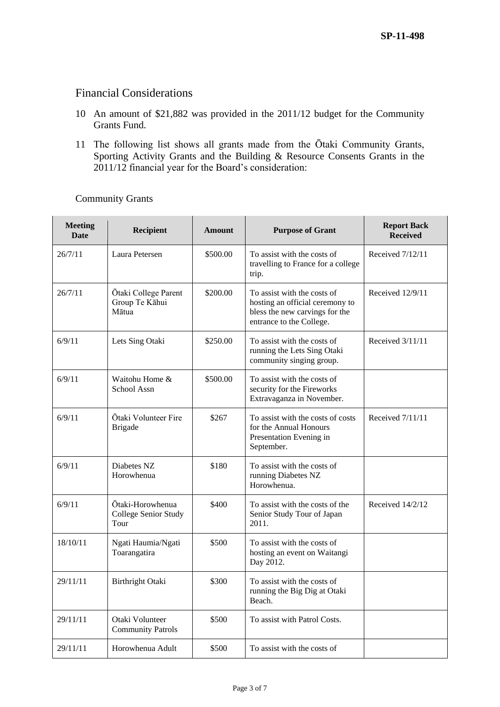# Financial Considerations

- 10 An amount of \$21,882 was provided in the 2011/12 budget for the Community Grants Fund.
- 11 The following list shows all grants made from the Ōtaki Community Grants, Sporting Activity Grants and the Building & Resource Consents Grants in the 2011/12 financial year for the Board's consideration:

| <b>Meeting</b><br><b>Date</b> | Recipient                                        | <b>Amount</b> | <b>Purpose of Grant</b>                                                                                                      | <b>Report Back</b><br><b>Received</b> |
|-------------------------------|--------------------------------------------------|---------------|------------------------------------------------------------------------------------------------------------------------------|---------------------------------------|
| 26/7/11                       | Laura Petersen                                   | \$500.00      | To assist with the costs of<br>travelling to France for a college<br>trip.                                                   | Received 7/12/11                      |
| 26/7/11                       | Ōtaki College Parent<br>Group Te Kāhui<br>Mātua  | \$200.00      | To assist with the costs of<br>hosting an official ceremony to<br>bless the new carvings for the<br>entrance to the College. | Received 12/9/11                      |
| 6/9/11                        | Lets Sing Otaki                                  | \$250.00      | To assist with the costs of<br>running the Lets Sing Otaki<br>community singing group.                                       | Received 3/11/11                      |
| 6/9/11                        | Waitohu Home &<br>School Assn                    | \$500.00      | To assist with the costs of<br>security for the Fireworks<br>Extravaganza in November.                                       |                                       |
| 6/9/11                        | Ōtaki Volunteer Fire<br><b>Brigade</b>           | \$267         | To assist with the costs of costs<br>for the Annual Honours<br>Presentation Evening in<br>September.                         | Received 7/11/11                      |
| 6/9/11                        | Diabetes NZ<br>Horowhenua                        | \$180         | To assist with the costs of<br>running Diabetes NZ<br>Horowhenua.                                                            |                                       |
| 6/9/11                        | Ōtaki-Horowhenua<br>College Senior Study<br>Tour | \$400         | To assist with the costs of the<br>Senior Study Tour of Japan<br>2011.                                                       | Received $14/2/12$                    |
| 18/10/11                      | Ngati Haumia/Ngati<br>Toarangatira               | \$500         | To assist with the costs of<br>hosting an event on Waitangi<br>Day 2012.                                                     |                                       |
| 29/11/11                      | Birthright Otaki                                 | \$300         | To assist with the costs of<br>running the Big Dig at Otaki<br>Beach.                                                        |                                       |
| 29/11/11                      | Otaki Volunteer<br><b>Community Patrols</b>      | \$500         | To assist with Patrol Costs.                                                                                                 |                                       |
| 29/11/11                      | Horowhenua Adult                                 | \$500         | To assist with the costs of                                                                                                  |                                       |

Community Grants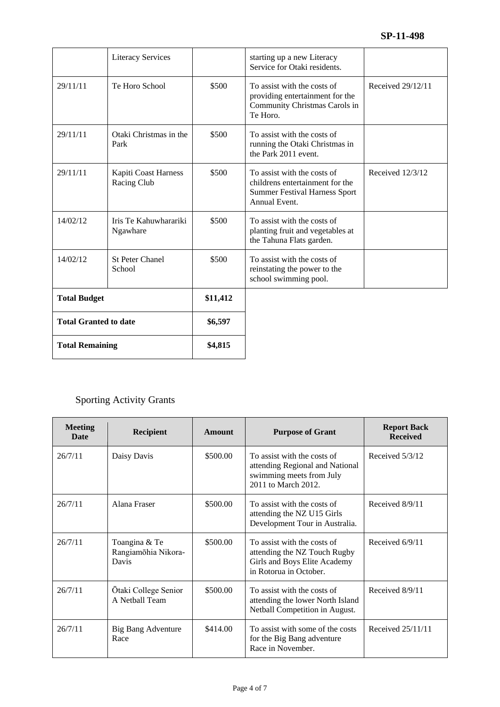|                              | <b>Literacy Services</b>            |          | starting up a new Literacy<br>Service for Otaki residents.                                                              |                   |
|------------------------------|-------------------------------------|----------|-------------------------------------------------------------------------------------------------------------------------|-------------------|
| 29/11/11                     | Te Horo School                      | \$500    | To assist with the costs of<br>providing entertainment for the<br>Community Christmas Carols in<br>Te Horo.             | Received 29/12/11 |
| 29/11/11                     | Otaki Christmas in the<br>Park      | \$500    | To assist with the costs of<br>running the Otaki Christmas in<br>the Park 2011 event.                                   |                   |
| 29/11/11                     | Kapiti Coast Harness<br>Racing Club | \$500    | To assist with the costs of<br>childrens entertainment for the<br><b>Summer Festival Harness Sport</b><br>Annual Event. | Received 12/3/12  |
| 14/02/12                     | Iris Te Kahuwharariki<br>Ngawhare   | \$500    | To assist with the costs of<br>planting fruit and vegetables at<br>the Tahuna Flats garden.                             |                   |
| 14/02/12                     | <b>St Peter Chanel</b><br>School    | \$500    | To assist with the costs of<br>reinstating the power to the<br>school swimming pool.                                    |                   |
| <b>Total Budget</b>          |                                     | \$11,412 |                                                                                                                         |                   |
| <b>Total Granted to date</b> |                                     | \$6,597  |                                                                                                                         |                   |
| <b>Total Remaining</b>       |                                     | \$4,815  |                                                                                                                         |                   |

# Sporting Activity Grants

| <b>Meeting</b><br>Date | <b>Recipient</b>                              | <b>Amount</b> | <b>Purpose of Grant</b>                                                                                               | <b>Report Back</b><br><b>Received</b> |
|------------------------|-----------------------------------------------|---------------|-----------------------------------------------------------------------------------------------------------------------|---------------------------------------|
| 26/7/11                | Daisy Davis                                   | \$500.00      | To assist with the costs of<br>attending Regional and National<br>swimming meets from July<br>2011 to March 2012.     | Received 5/3/12                       |
| 26/7/11                | Alana Fraser                                  | \$500.00      | To assist with the costs of<br>attending the NZ U15 Girls<br>Development Tour in Australia.                           | Received 8/9/11                       |
| 26/7/11                | Toangina & Te<br>Rangiamohia Nikora-<br>Davis | \$500.00      | To assist with the costs of<br>attending the NZ Touch Rugby<br>Girls and Boys Elite Academy<br>in Rotorua in October. | Received $6/9/11$                     |
| 26/7/11                | Ōtaki College Senior<br>A Netball Team        | \$500.00      | To assist with the costs of<br>attending the lower North Island<br>Netball Competition in August.                     | Received 8/9/11                       |
| 26/7/11                | Big Bang Adventure<br>Race                    | \$414.00      | To assist with some of the costs<br>for the Big Bang adventure<br>Race in November.                                   | Received 25/11/11                     |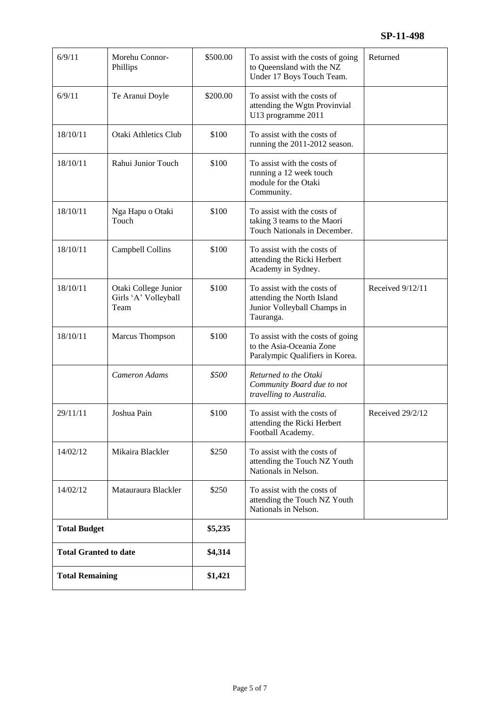| 6/9/11                       | Morehu Connor-<br>Phillips                           | \$500.00 | To assist with the costs of going<br>to Queensland with the NZ<br>Under 17 Boys Touch Team.           | Returned         |
|------------------------------|------------------------------------------------------|----------|-------------------------------------------------------------------------------------------------------|------------------|
| 6/9/11                       | Te Aranui Doyle                                      | \$200.00 | To assist with the costs of<br>attending the Wgtn Provinvial<br>U13 programme 2011                    |                  |
| 18/10/11                     | <b>Otaki Athletics Club</b>                          | \$100    | To assist with the costs of<br>running the 2011-2012 season.                                          |                  |
| 18/10/11                     | Rahui Junior Touch                                   | \$100    | To assist with the costs of<br>running a 12 week touch<br>module for the Otaki<br>Community.          |                  |
| 18/10/11                     | Nga Hapu o Otaki<br>Touch                            | \$100    | To assist with the costs of<br>taking 3 teams to the Maori<br>Touch Nationals in December.            |                  |
| 18/10/11                     | Campbell Collins                                     | \$100    | To assist with the costs of<br>attending the Ricki Herbert<br>Academy in Sydney.                      |                  |
| 18/10/11                     | Otaki College Junior<br>Girls 'A' Volleyball<br>Team | \$100    | To assist with the costs of<br>attending the North Island<br>Junior Volleyball Champs in<br>Tauranga. | Received 9/12/11 |
| 18/10/11                     | Marcus Thompson                                      | \$100    | To assist with the costs of going<br>to the Asia-Oceania Zone<br>Paralympic Qualifiers in Korea.      |                  |
|                              | Cameron Adams                                        | \$500    | Returned to the Otaki<br>Community Board due to not<br>travelling to Australia.                       |                  |
| 29/11/11                     | Joshua Pain                                          | \$100    | To assist with the costs of<br>attending the Ricki Herbert<br>Football Academy.                       | Received 29/2/12 |
| 14/02/12                     | Mikaira Blackler                                     | \$250    | To assist with the costs of<br>attending the Touch NZ Youth<br>Nationals in Nelson.                   |                  |
| 14/02/12                     | Matauraura Blackler                                  | \$250    | To assist with the costs of<br>attending the Touch NZ Youth<br>Nationals in Nelson.                   |                  |
| <b>Total Budget</b>          |                                                      | \$5,235  |                                                                                                       |                  |
| <b>Total Granted to date</b> |                                                      | \$4,314  |                                                                                                       |                  |
| <b>Total Remaining</b>       |                                                      | \$1,421  |                                                                                                       |                  |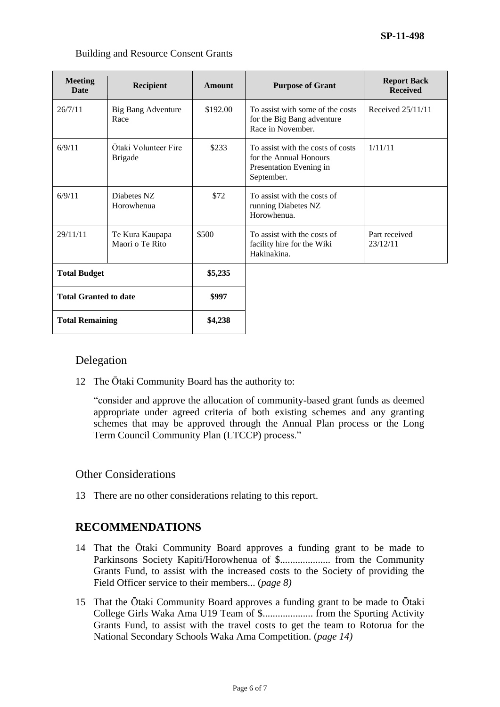| <b>Meeting</b><br><b>Recipient</b><br><b>Date</b> |                    | Amount   | <b>Purpose of Gran</b>     |  |
|---------------------------------------------------|--------------------|----------|----------------------------|--|
| 26/7/11                                           | Big Bang Adventure | \$192.00 | To assist with some of the |  |

#### Building and Resource Consent Grants

| <b>Meeting</b><br><b>Date</b>                          | <b>Recipient</b>                       | Amount   | <b>Purpose of Grant</b>                                                                              | <b>Report Back</b><br><b>Received</b> |
|--------------------------------------------------------|----------------------------------------|----------|------------------------------------------------------------------------------------------------------|---------------------------------------|
| 26/7/11                                                | Big Bang Adventure<br>Race             | \$192.00 | To assist with some of the costs<br>for the Big Bang adventure<br>Race in November.                  | Received 25/11/11                     |
| 6/9/11                                                 | Ōtaki Volunteer Fire<br><b>Brigade</b> | \$233    | To assist with the costs of costs<br>for the Annual Honours<br>Presentation Evening in<br>September. | 1/11/11                               |
| 6/9/11                                                 | Diabetes NZ<br>Horowhenua              | \$72     | To assist with the costs of<br>running Diabetes NZ<br>Horowhenua.                                    |                                       |
| 29/11/11                                               | Te Kura Kaupapa<br>Maori o Te Rito     | \$500    | To assist with the costs of<br>facility hire for the Wiki<br>Hakinakina.                             | Part received<br>23/12/11             |
| <b>Total Budget</b>                                    |                                        | \$5,235  |                                                                                                      |                                       |
| <b>Total Granted to date</b><br><b>Total Remaining</b> |                                        | \$997    |                                                                                                      |                                       |
|                                                        |                                        | \$4,238  |                                                                                                      |                                       |

## Delegation

12 The Ōtaki Community Board has the authority to:

"consider and approve the allocation of community-based grant funds as deemed appropriate under agreed criteria of both existing schemes and any granting schemes that may be approved through the Annual Plan process or the Long Term Council Community Plan (LTCCP) process."

## Other Considerations

13 There are no other considerations relating to this report.

# **RECOMMENDATIONS**

- 14 That the Ōtaki Community Board approves a funding grant to be made to Parkinsons Society Kapiti/Horowhenua of \$.................... from the Community Grants Fund, to assist with the increased costs to the Society of providing the Field Officer service to their members... (*page 8)*
- 15 That the Ōtaki Community Board approves a funding grant to be made to Ōtaki College Girls Waka Ama U19 Team of \$.................... from the Sporting Activity Grants Fund, to assist with the travel costs to get the team to Rotorua for the National Secondary Schools Waka Ama Competition. (*page 14)*